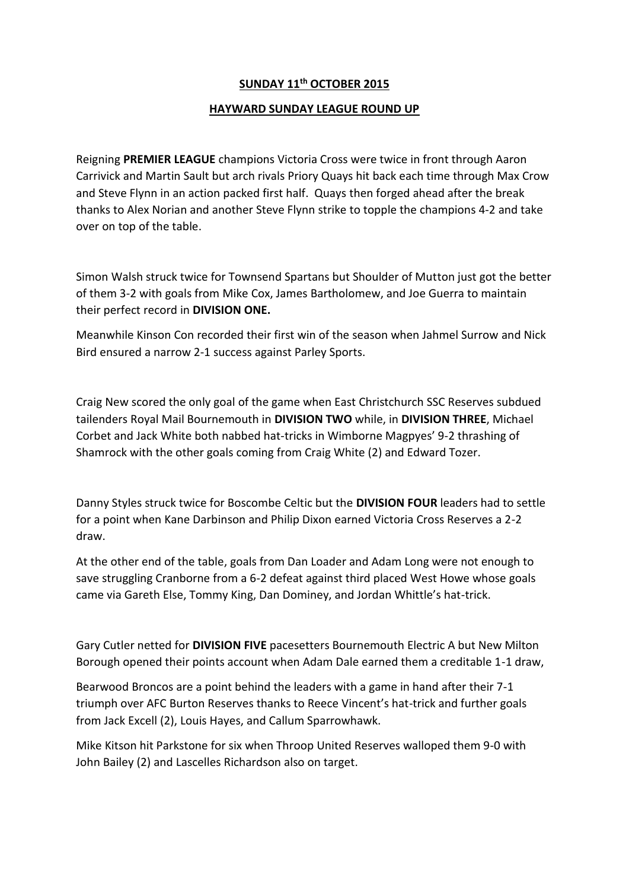## **SUNDAY 11th OCTOBER 2015**

## **HAYWARD SUNDAY LEAGUE ROUND UP**

Reigning **PREMIER LEAGUE** champions Victoria Cross were twice in front through Aaron Carrivick and Martin Sault but arch rivals Priory Quays hit back each time through Max Crow and Steve Flynn in an action packed first half. Quays then forged ahead after the break thanks to Alex Norian and another Steve Flynn strike to topple the champions 4-2 and take over on top of the table.

Simon Walsh struck twice for Townsend Spartans but Shoulder of Mutton just got the better of them 3-2 with goals from Mike Cox, James Bartholomew, and Joe Guerra to maintain their perfect record in **DIVISION ONE.**

Meanwhile Kinson Con recorded their first win of the season when Jahmel Surrow and Nick Bird ensured a narrow 2-1 success against Parley Sports.

Craig New scored the only goal of the game when East Christchurch SSC Reserves subdued tailenders Royal Mail Bournemouth in **DIVISION TWO** while, in **DIVISION THREE**, Michael Corbet and Jack White both nabbed hat-tricks in Wimborne Magpyes' 9-2 thrashing of Shamrock with the other goals coming from Craig White (2) and Edward Tozer.

Danny Styles struck twice for Boscombe Celtic but the **DIVISION FOUR** leaders had to settle for a point when Kane Darbinson and Philip Dixon earned Victoria Cross Reserves a 2-2 draw.

At the other end of the table, goals from Dan Loader and Adam Long were not enough to save struggling Cranborne from a 6-2 defeat against third placed West Howe whose goals came via Gareth Else, Tommy King, Dan Dominey, and Jordan Whittle's hat-trick.

Gary Cutler netted for **DIVISION FIVE** pacesetters Bournemouth Electric A but New Milton Borough opened their points account when Adam Dale earned them a creditable 1-1 draw,

Bearwood Broncos are a point behind the leaders with a game in hand after their 7-1 triumph over AFC Burton Reserves thanks to Reece Vincent's hat-trick and further goals from Jack Excell (2), Louis Hayes, and Callum Sparrowhawk.

Mike Kitson hit Parkstone for six when Throop United Reserves walloped them 9-0 with John Bailey (2) and Lascelles Richardson also on target.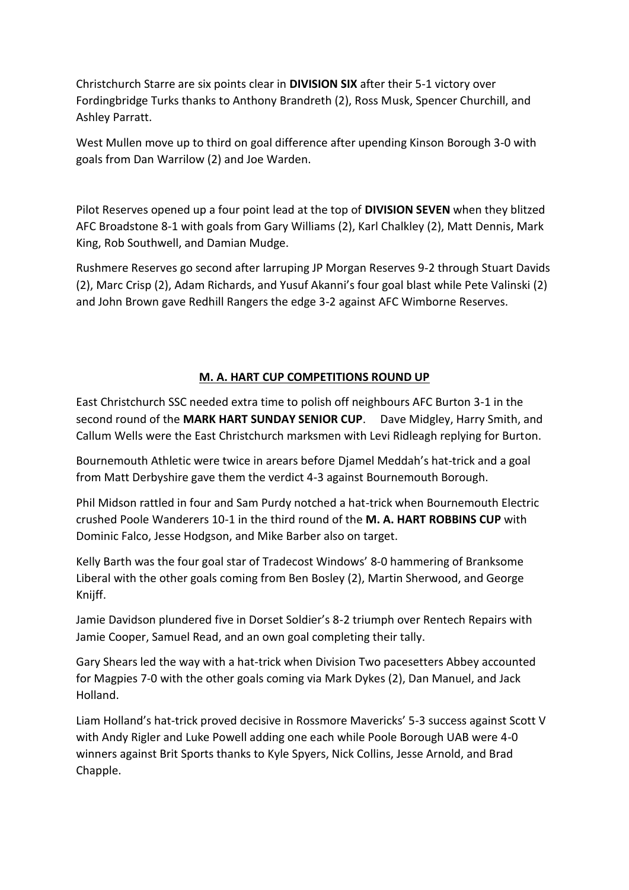Christchurch Starre are six points clear in **DIVISION SIX** after their 5-1 victory over Fordingbridge Turks thanks to Anthony Brandreth (2), Ross Musk, Spencer Churchill, and Ashley Parratt.

West Mullen move up to third on goal difference after upending Kinson Borough 3-0 with goals from Dan Warrilow (2) and Joe Warden.

Pilot Reserves opened up a four point lead at the top of **DIVISION SEVEN** when they blitzed AFC Broadstone 8-1 with goals from Gary Williams (2), Karl Chalkley (2), Matt Dennis, Mark King, Rob Southwell, and Damian Mudge.

Rushmere Reserves go second after larruping JP Morgan Reserves 9-2 through Stuart Davids (2), Marc Crisp (2), Adam Richards, and Yusuf Akanni's four goal blast while Pete Valinski (2) and John Brown gave Redhill Rangers the edge 3-2 against AFC Wimborne Reserves.

## **M. A. HART CUP COMPETITIONS ROUND UP**

East Christchurch SSC needed extra time to polish off neighbours AFC Burton 3-1 in the second round of the **MARK HART SUNDAY SENIOR CUP**. Dave Midgley, Harry Smith, and Callum Wells were the East Christchurch marksmen with Levi Ridleagh replying for Burton.

Bournemouth Athletic were twice in arears before Djamel Meddah's hat-trick and a goal from Matt Derbyshire gave them the verdict 4-3 against Bournemouth Borough.

Phil Midson rattled in four and Sam Purdy notched a hat-trick when Bournemouth Electric crushed Poole Wanderers 10-1 in the third round of the **M. A. HART ROBBINS CUP** with Dominic Falco, Jesse Hodgson, and Mike Barber also on target.

Kelly Barth was the four goal star of Tradecost Windows' 8-0 hammering of Branksome Liberal with the other goals coming from Ben Bosley (2), Martin Sherwood, and George Knijff.

Jamie Davidson plundered five in Dorset Soldier's 8-2 triumph over Rentech Repairs with Jamie Cooper, Samuel Read, and an own goal completing their tally.

Gary Shears led the way with a hat-trick when Division Two pacesetters Abbey accounted for Magpies 7-0 with the other goals coming via Mark Dykes (2), Dan Manuel, and Jack Holland.

Liam Holland's hat-trick proved decisive in Rossmore Mavericks' 5-3 success against Scott V with Andy Rigler and Luke Powell adding one each while Poole Borough UAB were 4-0 winners against Brit Sports thanks to Kyle Spyers, Nick Collins, Jesse Arnold, and Brad Chapple.